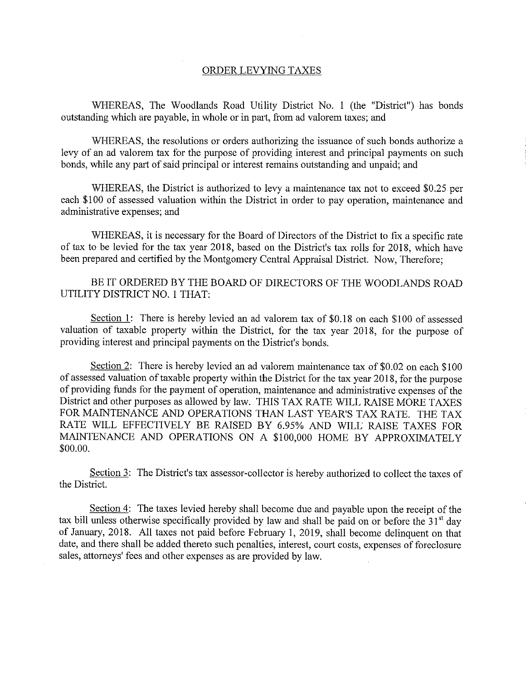## ORDER LEVYING TAXES

WHEREAS, The Woodlands Road Utility District No. 1 (the "District") has bonds outstanding which are payable, in whole or in part, from ad valorem taxes; and

WHEREAS, the resolutions or orders authorizing the issuance of such bonds authorize a levy of an ad valorem tax for the purpose of providing interest and principal payments on such bonds, while any part of said principal or interest remains outstanding and unpaid; and

WHEREAS, the District is authorized to levy a maintenance tax not to exceed \$0.25 per each \$100 of assessed valuation within the District in order to pay operation, maintenance and administrative expenses; and

WHEREAS, it is necessary for the Board of Directors of the District to fix a specific rate of tax to be levied for the tax year 2018, based on the District's tax rolls for 2018, which have been prepared and certified by the Montgomery Central Appraisal District. Now, Therefore;

BE IT ORDERED BY THE BOARD OF DIRECTORS OF THE WOODLANDS ROAD UTILITY DISTRICT NO. <sup>1</sup> THAT:

Section 1: There is hereby levied an ad valorem tax of \$0.18 on each \$100 of assessed valuation of taxable property within the District, for the tax year 2018, for the purpose of providing interest and principal payments on the District's bonds.

Section 2: There is hereby levied an ad valorem maintenance tax of \$0.02 on each \$100 of assessed valuation of taxable property within the District for the tax year 2018, for the purpose of providing funds for the payment of operation, maintenance and administrative expenses of the District and other purposes as allowed by law. THIS TAX RATE WILL RAISE MORE TAXES FOR MAINTENANCE AND OPERATIONS THAN LAST YEAR'S TAX RATE. THE TAX RATE WILL EFFECTIVELY BE RAISED BY 6.95% AND WILL RAISE TAXES FOR MAINTENANCE AND OPERATIONS ON A \$100,000 HOME BY APPROXIMATELY \$00.00.

Section 3: The District's tax assessor-collector is hereby authorized to collect the taxes of the District.

Section 4: The taxes levied hereby shall become due and payable upon the receipt of the tax bill unless otherwise specifically provided by law and shall be paid on or before the  $31<sup>st</sup>$  day of January, 2018. All taxes not paid before February I, 2019, shall become delinquent on that date, and there shall be added thereto such penalties, interest, court costs, expenses of foreclosure sales, attorneys' fees and other expenses as are provided by law.